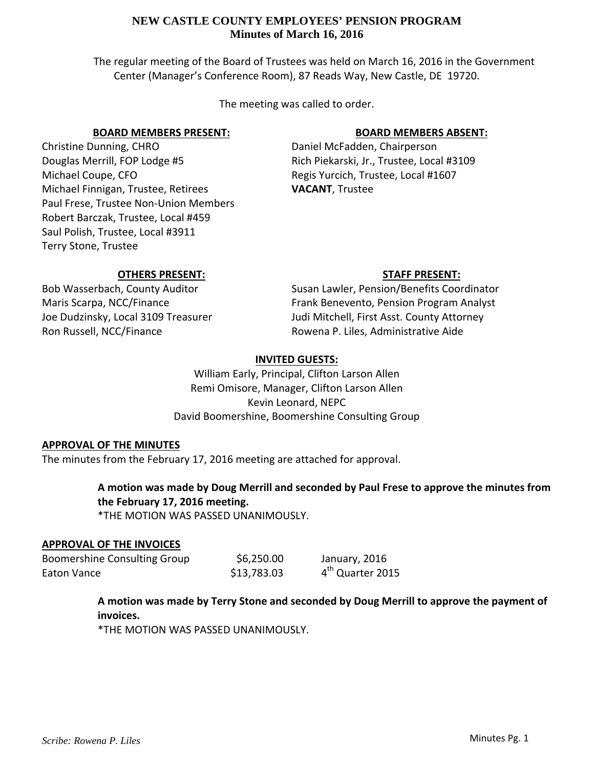The regular meeting of the Board of Trustees was held on March 16, 2016 in the Government Center (Manager's Conference Room), 87 Reads Way, New Castle, DE 19720.

The meeting was called to order.

## **BOARD MEMBERS PRESENT:**

Christine Dunning, CHRO Douglas Merrill, FOP Lodge #5 Michael Coupe, CFO Michael Finnigan, Trustee, Retirees Paul Frese, Trustee Non‐Union Members Robert Barczak, Trustee, Local #459 Saul Polish, Trustee, Local #3911 Terry Stone, Trustee

# **BOARD MEMBERS ABSENT:**

Daniel McFadden, Chairperson Rich Piekarski, Jr., Trustee, Local #3109 Regis Yurcich, Trustee, Local #1607 **VACANT**, Trustee

## **OTHERS PRESENT:**

Bob Wasserbach, County Auditor Maris Scarpa, NCC/Finance Joe Dudzinsky, Local 3109 Treasurer Ron Russell, NCC/Finance

**STAFF PRESENT:** Susan Lawler, Pension/Benefits Coordinator Frank Benevento, Pension Program Analyst Judi Mitchell, First Asst. County Attorney Rowena P. Liles, Administrative Aide

# **INVITED GUESTS:**

William Early, Principal, Clifton Larson Allen Remi Omisore, Manager, Clifton Larson Allen Kevin Leonard, NEPC David Boomershine, Boomershine Consulting Group

## **APPROVAL OF THE MINUTES**

The minutes from the February 17, 2016 meeting are attached for approval.

# **A motion was made by Doug Merrill and seconded by Paul Frese to approve the minutes from the February 17, 2016 meeting.**

\*THE MOTION WAS PASSED UNANIMOUSLY.

## **APPROVAL OF THE INVOICES**

Boomershine Consulting Group \$6,250.00 January, 2016 Eaton Vance  $$13,783.03$   $4^{th}$  Quarter 2015

> **A motion was made by Terry Stone and seconded by Doug Merrill to approve the payment of invoices.**

\*THE MOTION WAS PASSED UNANIMOUSLY.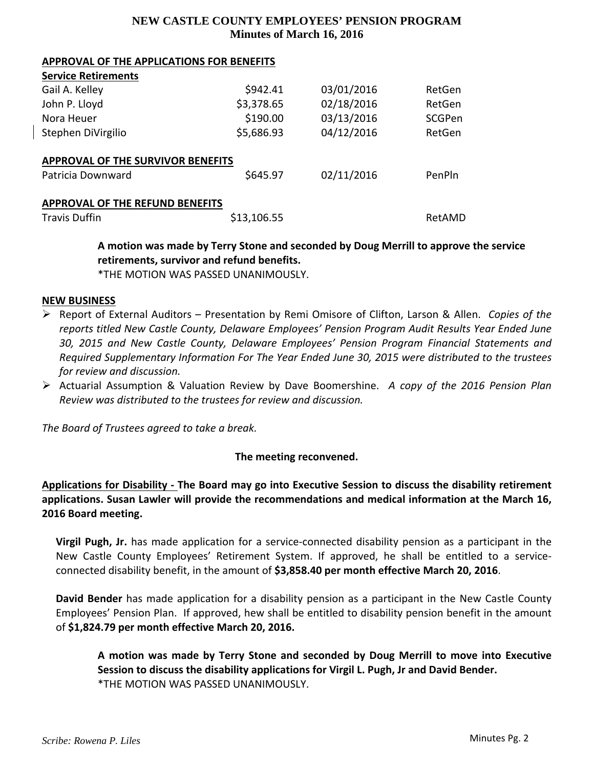#### **APPROVAL OF THE APPLICATIONS FOR BENEFITS**

| <b>Service Retirements</b>               |             |            |        |
|------------------------------------------|-------------|------------|--------|
| Gail A. Kelley                           | \$942.41    | 03/01/2016 | RetGen |
| John P. Lloyd                            | \$3,378.65  | 02/18/2016 | RetGen |
| Nora Heuer                               | \$190.00    | 03/13/2016 | SCGPen |
| Stephen DiVirgilio                       | \$5,686.93  | 04/12/2016 | RetGen |
| <b>APPROVAL OF THE SURVIVOR BENEFITS</b> |             |            |        |
| Patricia Downward                        | \$645.97    | 02/11/2016 | PenPln |
| APPROVAL OF THE REFUND BENEFITS          |             |            |        |
| <b>Travis Duffin</b>                     | \$13,106.55 |            | RetAMD |

**A motion was made by Terry Stone and seconded by Doug Merrill to approve the service retirements, survivor and refund benefits.**

\*THE MOTION WAS PASSED UNANIMOUSLY.

#### **NEW BUSINESS**

- Report of External Auditors Presentation by Remi Omisore of Clifton, Larson & Allen. *Copies of the reports titled New Castle County, Delaware Employees' Pension Program Audit Results Year Ended June 30, 2015 and New Castle County, Delaware Employees' Pension Program Financial Statements and Required Supplementary Information For The Year Ended June 30, 2015 were distributed to the trustees for review and discussion.*
- Actuarial Assumption & Valuation Review by Dave Boomershine. *A copy of the 2016 Pension Plan Review was distributed to the trustees for review and discussion.*

*The Board of Trustees agreed to take a break.*

## **The meeting reconvened.**

**Applications for Disability ‐ The Board may go into Executive Session to discuss the disability retirement applications. Susan Lawler will provide the recommendations and medical information at the March 16, 2016 Board meeting.**

**Virgil Pugh, Jr.** has made application for a service‐connected disability pension as a participant in the New Castle County Employees' Retirement System. If approved, he shall be entitled to a service‐ connected disability benefit, in the amount of **\$3,858.40 per month effective March 20, 2016**.

**David Bender** has made application for a disability pension as a participant in the New Castle County Employees' Pension Plan. If approved, hew shall be entitled to disability pension benefit in the amount of **\$1,824.79 per month effective March 20, 2016.**

**A motion was made by Terry Stone and seconded by Doug Merrill to move into Executive Session to discuss the disability applications for Virgil L. Pugh, Jr and David Bender.** \*THE MOTION WAS PASSED UNANIMOUSLY.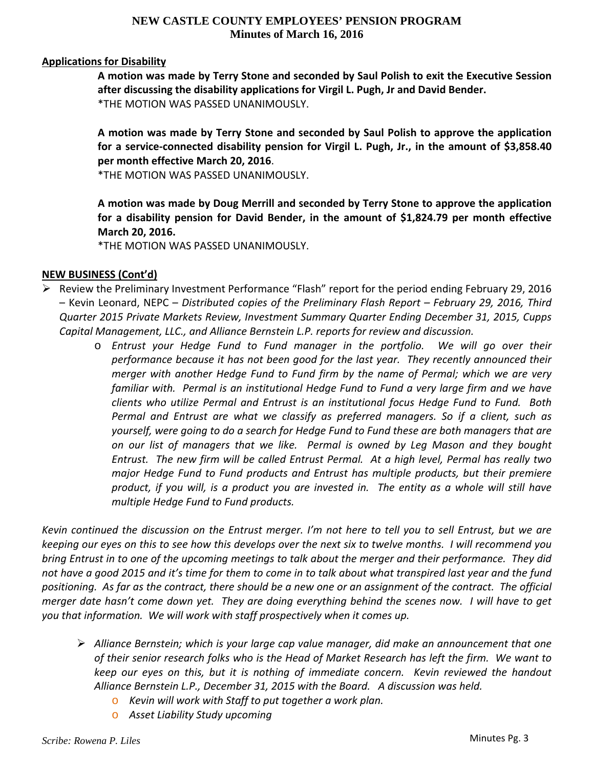## **Applications for Disability**

**A motion was made by Terry Stone and seconded by Saul Polish to exit the Executive Session after discussing the disability applications for Virgil L. Pugh, Jr and David Bender.** \*THE MOTION WAS PASSED UNANIMOUSLY.

**A motion was made by Terry Stone and seconded by Saul Polish to approve the application for a service‐connected disability pension for Virgil L. Pugh, Jr., in the amount of \$3,858.40 per month effective March 20, 2016**.

\*THE MOTION WAS PASSED UNANIMOUSLY.

**A motion was made by Doug Merrill and seconded by Terry Stone to approve the application for a disability pension for David Bender, in the amount of \$1,824.79 per month effective March 20, 2016.**

\*THE MOTION WAS PASSED UNANIMOUSLY.

## **NEW BUSINESS (Cont'd)**

- $\triangleright$  Review the Preliminary Investment Performance "Flash" report for the period ending February 29, 2016 – Kevin Leonard, NEPC – *Distributed copies of the Preliminary Flash Report – February 29, 2016, Third Quarter 2015 Private Markets Review, Investment Summary Quarter Ending December 31, 2015, Cupps Capital Management, LLC., and Alliance Bernstein L.P. reports for review and discussion.*
	- o *Entrust your Hedge Fund to Fund manager in the portfolio. We will go over their performance because it has not been good for the last year. They recently announced their merger with another Hedge Fund to Fund firm by the name of Permal; which we are very familiar with. Permal is an institutional Hedge Fund to Fund a very large firm and we have clients who utilize Permal and Entrust is an institutional focus Hedge Fund to Fund. Both Permal and Entrust are what we classify as preferred managers. So if a client, such as yourself, were going to do a search for Hedge Fund to Fund these are both managers that are on our list of managers that we like. Permal is owned by Leg Mason and they bought* Entrust. The new firm will be called Entrust Permal. At a high level, Permal has really two *major Hedge Fund to Fund products and Entrust has multiple products, but their premiere* product, if you will, is a product you are invested in. The entity as a whole will still have *multiple Hedge Fund to Fund products.*

Kevin continued the discussion on the Entrust merger. I'm not here to tell you to sell Entrust, but we are keeping our eyes on this to see how this develops over the next six to twelve months. I will recommend you bring Entrust in to one of the upcoming meetings to talk about the merger and their performance. They did not have a good 2015 and it's time for them to come in to talk about what transpired last year and the fund positioning. As far as the contract, there should be a new one or an assignment of the contract. The official merger date hasn't come down yet. They are doing everything behind the scenes now. I will have to get *you that information. We will work with staff prospectively when it comes up.* 

- *Alliance Bernstein; which is your large cap value manager, did make an announcement that one* of their senior research folks who is the Head of Market Research has left the firm. We want to *keep our eyes on this, but it is nothing of immediate concern. Kevin reviewed the handout Alliance Bernstein L.P., December 31, 2015 with the Board. A discussion was held.* 
	- o *Kevin will work with Staff to put together a work plan.*
	- o *Asset Liability Study upcoming*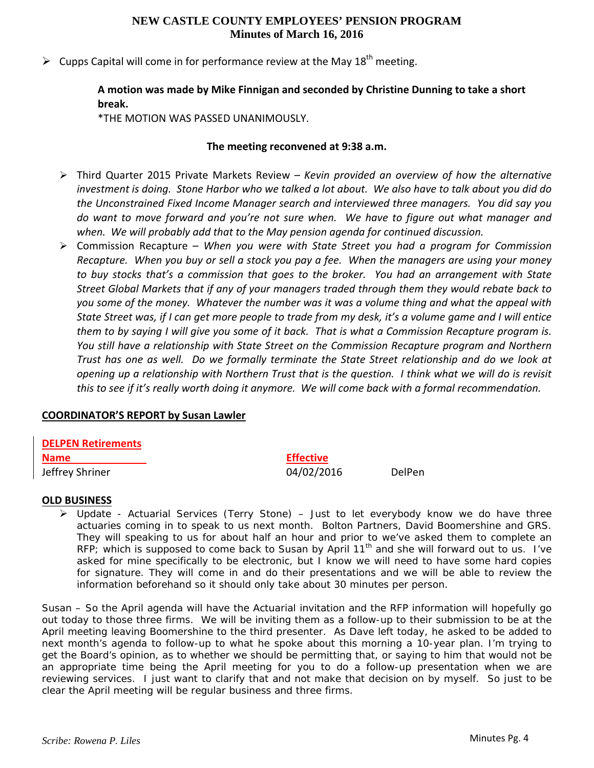$\triangleright$  Cupps Capital will come in for performance review at the May 18<sup>th</sup> meeting.

# **A motion was made by Mike Finnigan and seconded by Christine Dunning to take a short break.**

\*THE MOTION WAS PASSED UNANIMOUSLY.

## **The meeting reconvened at 9:38 a.m.**

- Third Quarter 2015 Private Markets Review *– Kevin provided an overview of how the alternative* investment is doing. Stone Harbor who we talked a lot about. We also have to talk about you did do *the Unconstrained Fixed Income Manager search and interviewed three managers. You did say you do want to move forward and you're not sure when. We have to figure out what manager and when. We will probably add that to the May pension agenda for continued discussion.*
- Commission Recapture *When you were with State Street you had a program for Commission* Recapture. When you buy or sell a stock you pay a fee. When the managers are using your money *to buy stocks that's a commission that goes to the broker. You had an arrangement with State Street Global Markets that if any of your managers traded through them they would rebate back to* you some of the money. Whatever the number was it was a volume thing and what the appeal with State Street was, if I can get more people to trade from my desk, it's a volume game and I will entice them to by saying I will give you some of it back. That is what a Commission Recapture program is. *You still have a relationship with State Street on the Commission Recapture program and Northern* Trust has one as well. Do we formally terminate the State Street relationship and do we look at opening up a relationship with Northern Trust that is the question. I think what we will do is revisit this to see if it's really worth doing it anymore. We will come back with a formal recommendation.

## **COORDINATOR'S REPORT by Susan Lawler**

**DELPEN Retirements Name Effective** Jeffrey Shriner **Data and Sheet Contact Sheet Contact Contact Contact Contact Contact Contact Contact DelPen** 

## **OLD BUSINESS**

 Update - Actuarial Services (Terry Stone) – Just to let everybody know we do have three actuaries coming in to speak to us next month. Bolton Partners, David Boomershine and GRS. They will speaking to us for about half an hour and prior to we've asked them to complete an RFP; which is supposed to come back to Susan by April 11<sup>th</sup> and she will forward out to us. I've asked for mine specifically to be electronic, but I know we will need to have some hard copies for signature. They will come in and do their presentations and we will be able to review the information beforehand so it should only take about 30 minutes per person.

Susan – *So the April agenda will have the Actuarial invitation and the RFP information will hopefully go out today to those three firms. We will be inviting them as a follow-up to their submission to be at the April meeting leaving Boomershine to the third presenter. As Dave left today, he asked to be added to next month's agenda to follow-up to what he spoke about this morning a 10-year plan. I'm trying to get the Board's opinion, as to whether we should be permitting that, or saying to him that would not be*  an appropriate time being the April meeting for you to do a follow-up presentation when we are *reviewing services. I just want to clarify that and not make that decision on by myself. So just to be clear the April meeting will be regular business and three firms.*